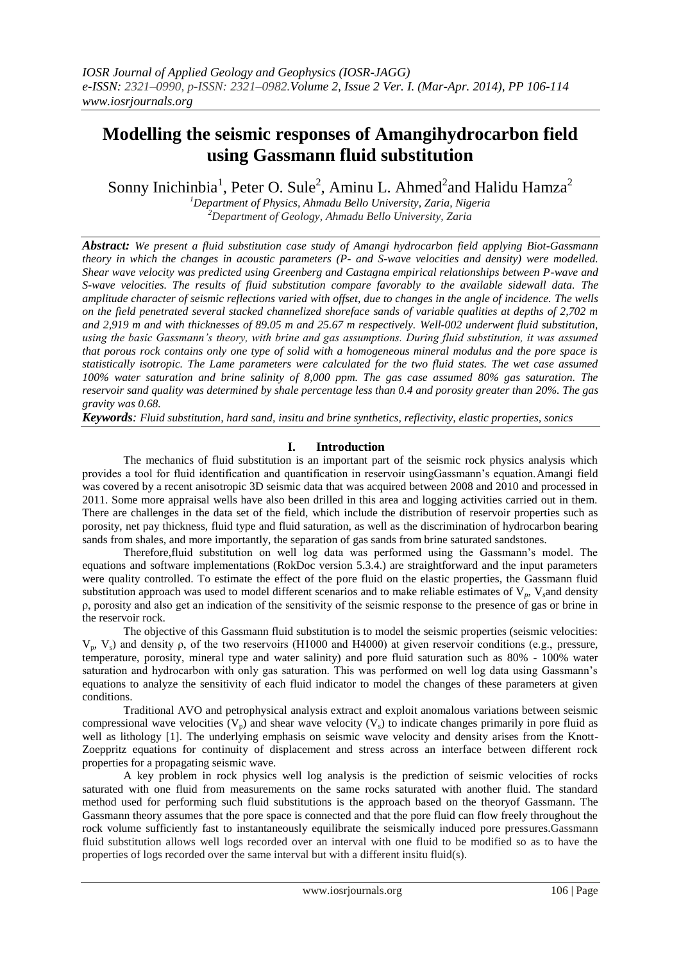# **Modelling the seismic responses of Amangihydrocarbon field using Gassmann fluid substitution**

Sonny Inichinbia<sup>1</sup>, Peter O. Sule<sup>2</sup>, Aminu L. Ahmed<sup>2</sup>and Halidu Hamza<sup>2</sup>

*<sup>1</sup>Department of Physics, Ahmadu Bello University, Zaria, Nigeria <sup>2</sup>Department of Geology, Ahmadu Bello University, Zaria*

*Abstract: We present a fluid substitution case study of Amangi hydrocarbon field applying Biot-Gassmann theory in which the changes in acoustic parameters (P- and S-wave velocities and density) were modelled. Shear wave velocity was predicted using Greenberg and Castagna empirical relationships between P-wave and S-wave velocities. The results of fluid substitution compare favorably to the available sidewall data. The amplitude character of seismic reflections varied with offset, due to changes in the angle of incidence. The wells on the field penetrated several stacked channelized shoreface sands of variable qualities at depths of 2,702 m and 2,919 m and with thicknesses of 89.05 m and 25.67 m respectively. Well-002 underwent fluid substitution, using the basic Gassmann's theory, with brine and gas assumptions. During fluid substitution, it was assumed that porous rock contains only one type of solid with a homogeneous mineral modulus and the pore space is statistically isotropic. The Lame parameters were calculated for the two fluid states. The wet case assumed 100% water saturation and brine salinity of 8,000 ppm. The gas case assumed 80% gas saturation. The reservoir sand quality was determined by shale percentage less than 0.4 and porosity greater than 20%. The gas gravity was 0.68.*

*Keywords: Fluid substitution, hard sand, insitu and brine synthetics, reflectivity, elastic properties, sonics*

## **I. Introduction**

The mechanics of fluid substitution is an important part of the seismic rock physics analysis which provides a tool for fluid identification and quantification in reservoir usingGassmann's equation.Amangi field was covered by a recent anisotropic 3D seismic data that was acquired between 2008 and 2010 and processed in 2011. Some more appraisal wells have also been drilled in this area and logging activities carried out in them. There are challenges in the data set of the field, which include the distribution of reservoir properties such as porosity, net pay thickness, fluid type and fluid saturation, as well as the discrimination of hydrocarbon bearing sands from shales, and more importantly, the separation of gas sands from brine saturated sandstones.

Therefore,fluid substitution on well log data was performed using the Gassmann's model. The equations and software implementations (RokDoc version 5.3.4.) are straightforward and the input parameters were quality controlled. To estimate the effect of the pore fluid on the elastic properties, the Gassmann fluid substitution approach was used to model different scenarios and to make reliable estimates of V*p*, V*s*and density ρ, porosity and also get an indication of the sensitivity of the seismic response to the presence of gas or brine in the reservoir rock.

The objective of this Gassmann fluid substitution is to model the seismic properties (seismic velocities:  $V_p$ ,  $V_s$ ) and density ρ, of the two reservoirs (H1000 and H4000) at given reservoir conditions (e.g., pressure, temperature, porosity, mineral type and water salinity) and pore fluid saturation such as 80% - 100% water saturation and hydrocarbon with only gas saturation. This was performed on well log data using Gassmann's equations to analyze the sensitivity of each fluid indicator to model the changes of these parameters at given conditions.

Traditional AVO and petrophysical analysis extract and exploit anomalous variations between seismic compressional wave velocities  $(V_p)$  and shear wave velocity  $(V_s)$  to indicate changes primarily in pore fluid as well as lithology [1]. The underlying emphasis on seismic wave velocity and density arises from the Knott-Zoeppritz equations for continuity of displacement and stress across an interface between different rock properties for a propagating seismic wave.

A key problem in rock physics well log analysis is the prediction of seismic velocities of rocks saturated with one fluid from measurements on the same rocks saturated with another fluid. The standard method used for performing such fluid substitutions is the approach based on the theoryof Gassmann. The Gassmann theory assumes that the pore space is connected and that the pore fluid can flow freely throughout the rock volume sufficiently fast to instantaneously equilibrate the seismically induced pore pressures.Gassmann fluid substitution allows well logs recorded over an interval with one fluid to be modified so as to have the properties of logs recorded over the same interval but with a different insitu fluid(s).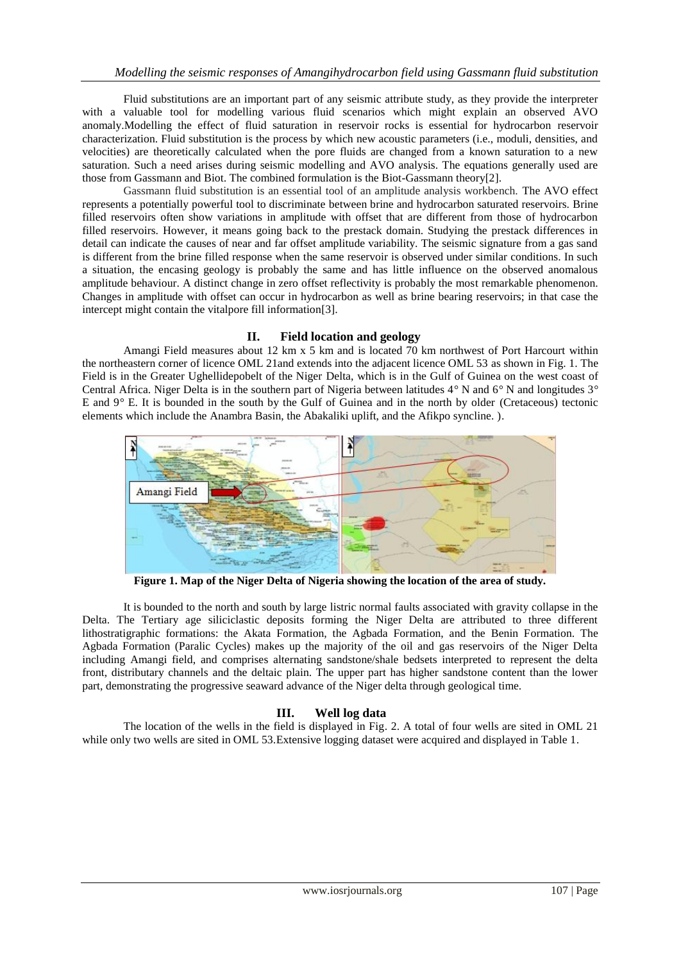Fluid substitutions are an important part of any seismic attribute study, as they provide the interpreter with a valuable tool for modelling various fluid scenarios which might explain an observed AVO anomaly.Modelling the effect of fluid saturation in reservoir rocks is essential for hydrocarbon reservoir characterization. Fluid substitution is the process by which new acoustic parameters (i.e., moduli, densities, and velocities) are theoretically calculated when the pore fluids are changed from a known saturation to a new saturation. Such a need arises during seismic modelling and AVO analysis. The equations generally used are those from Gassmann and Biot. The combined formulation is the Biot-Gassmann theory[2].

Gassmann fluid substitution is an essential tool of an amplitude analysis workbench. The AVO effect represents a potentially powerful tool to discriminate between brine and hydrocarbon saturated reservoirs. Brine filled reservoirs often show variations in amplitude with offset that are different from those of hydrocarbon filled reservoirs. However, it means going back to the prestack domain. Studying the prestack differences in detail can indicate the causes of near and far offset amplitude variability. The seismic signature from a gas sand is different from the brine filled response when the same reservoir is observed under similar conditions. In such a situation, the encasing geology is probably the same and has little influence on the observed anomalous amplitude behaviour. A distinct change in zero offset reflectivity is probably the most remarkable phenomenon. Changes in amplitude with offset can occur in hydrocarbon as well as brine bearing reservoirs; in that case the intercept might contain the vitalpore fill information[3].

#### **II. Field location and geology**

Amangi Field measures about 12 km x 5 km and is located 70 km northwest of Port Harcourt within the northeastern corner of licence OML 21and extends into the adjacent licence OML 53 as shown in Fig. 1. The Field is in the Greater Ughellidepobelt of the Niger Delta, which is in the Gulf of Guinea on the west coast of Central Africa. Niger Delta is in the southern part of Nigeria between latitudes 4*°* N and 6*°* N and longitudes 3*°*  E and 9*°* E. It is bounded in the south by the Gulf of Guinea and in the north by older (Cretaceous) tectonic elements which include the Anambra Basin, the Abakaliki uplift, and the Afikpo syncline. ).



**Figure 1. Map of the Niger Delta of Nigeria showing the location of the area of study.**

It is bounded to the north and south by large listric normal faults associated with gravity collapse in the Delta. The Tertiary age siliciclastic deposits forming the Niger Delta are attributed to three different lithostratigraphic formations: the Akata Formation, the Agbada Formation, and the Benin Formation. The Agbada Formation (Paralic Cycles) makes up the majority of the oil and gas reservoirs of the Niger Delta including Amangi field, and comprises alternating sandstone/shale bedsets interpreted to represent the delta front, distributary channels and the deltaic plain. The upper part has higher sandstone content than the lower part, demonstrating the progressive seaward advance of the Niger delta through geological time.

#### **III. Well log data**

The location of the wells in the field is displayed in Fig. 2. A total of four wells are sited in OML 21 while only two wells are sited in OML 53.Extensive logging dataset were acquired and displayed in Table 1.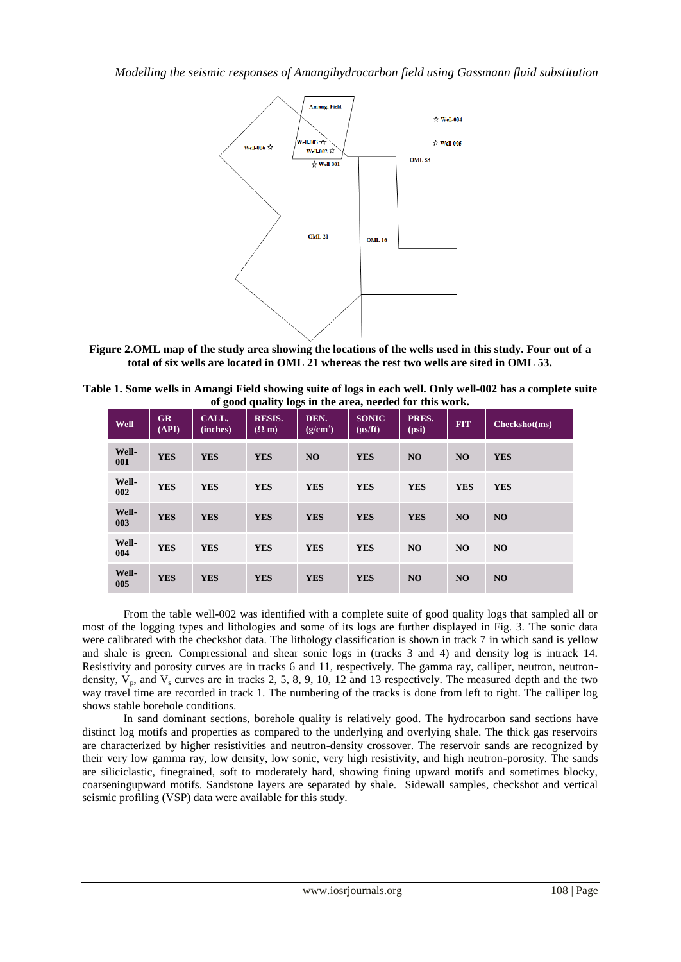

**Figure 2.OML map of the study area showing the locations of the wells used in this study. Four out of a total of six wells are located in OML 21 whereas the rest two wells are sited in OML 53.**

| Table 1. Some wells in Amangi Field showing suite of logs in each well. Only well-002 has a complete suite |
|------------------------------------------------------------------------------------------------------------|
| of good quality logs in the area, needed for this work.                                                    |

| <b>Well</b>  | GR<br>(API) | CALL.<br>(inches) | <b>RESIS.</b><br>$(\Omega$ m) | DEN.<br>$\sqrt{\rm g/cm^3}$ | <b>SONIC</b><br>$(\mu s/ft)$ | PRES.<br>(psi) | <b>FIT</b> | Checkshot(ms)  |
|--------------|-------------|-------------------|-------------------------------|-----------------------------|------------------------------|----------------|------------|----------------|
| Well-<br>001 | <b>YES</b>  | <b>YES</b>        | <b>YES</b>                    | <b>NO</b>                   | <b>YES</b>                   | <b>NO</b>      | NO.        | <b>YES</b>     |
| Well-<br>002 | <b>YES</b>  | <b>YES</b>        | <b>YES</b>                    | <b>YES</b>                  | <b>YES</b>                   | <b>YES</b>     | <b>YES</b> | <b>YES</b>     |
| Well-<br>003 | <b>YES</b>  | <b>YES</b>        | <b>YES</b>                    | <b>YES</b>                  | <b>YES</b>                   | <b>YES</b>     | <b>NO</b>  | N <sub>O</sub> |
| Well-<br>004 | <b>YES</b>  | <b>YES</b>        | <b>YES</b>                    | <b>YES</b>                  | <b>YES</b>                   | NO             | <b>NO</b>  | N <sub>O</sub> |
| Well-<br>005 | <b>YES</b>  | <b>YES</b>        | <b>YES</b>                    | <b>YES</b>                  | <b>YES</b>                   | NO             | <b>NO</b>  | <b>NO</b>      |

From the table well**-**002 was identified with a complete suite of good quality logs that sampled all or most of the logging types and lithologies and some of its logs are further displayed in Fig. 3. The sonic data were calibrated with the checkshot data. The lithology classification is shown in track 7 in which sand is yellow and shale is green. Compressional and shear sonic logs in (tracks 3 and 4) and density log is intrack 14. Resistivity and porosity curves are in tracks 6 and 11, respectively. The gamma ray, calliper, neutron, neutrondensity,  $V_p$ , and  $V_s$  curves are in tracks 2, 5, 8, 9, 10, 12 and 13 respectively. The measured depth and the two way travel time are recorded in track 1. The numbering of the tracks is done from left to right. The calliper log shows stable borehole conditions.

In sand dominant sections, borehole quality is relatively good. The hydrocarbon sand sections have distinct log motifs and properties as compared to the underlying and overlying shale. The thick gas reservoirs are characterized by higher resistivities and neutron**-**density crossover. The reservoir sands are recognized by their very low gamma ray, low density, low sonic, very high resistivity, and high neutron**-**porosity. The sands are siliciclastic, finegrained, soft to moderately hard, showing fining upward motifs and sometimes blocky, coarseningupward motifs. Sandstone layers are separated by shale. Sidewall samples, checkshot and vertical seismic profiling (VSP) data were available for this study.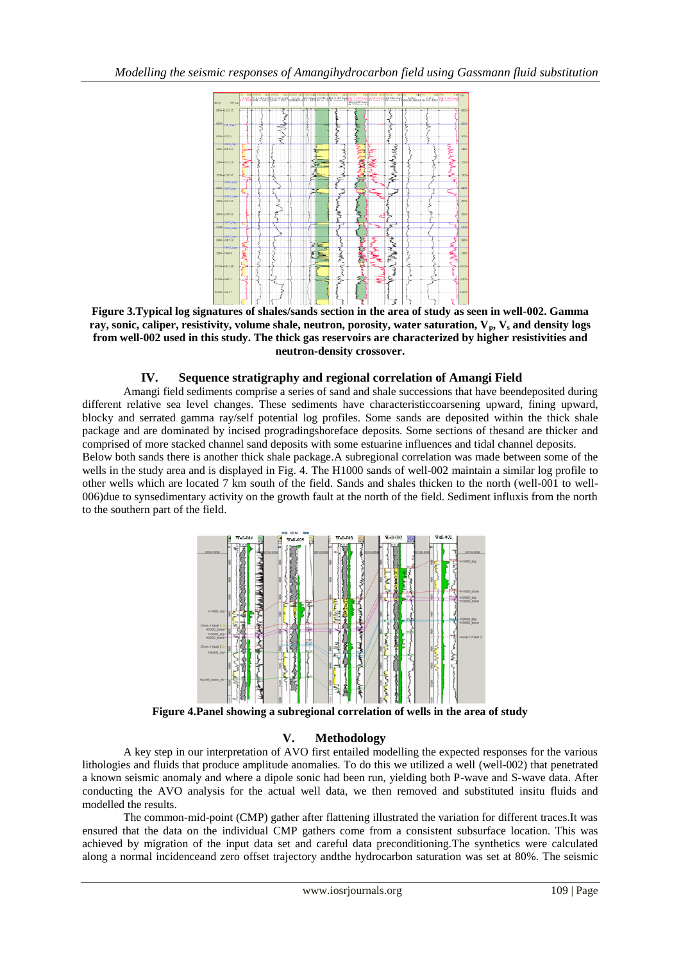

**Figure 3.Typical log signatures of shales/sands section in the area of study as seen in well-002. Gamma ray, sonic, caliper, resistivity, volume shale, neutron, porosity, water saturation, Vp, V<sup>s</sup> and density logs from well-002 used in this study. The thick gas reservoirs are characterized by higher resistivities and neutron-density crossover.**

## **IV. Sequence stratigraphy and regional correlation of Amangi Field**

Amangi field sediments comprise a series of sand and shale successions that have beendeposited during different relative sea level changes. These sediments have characteristiccoarsening upward, fining upward, blocky and serrated gamma ray/self potential log profiles. Some sands are deposited within the thick shale package and are dominated by incised progradingshoreface deposits. Some sections of thesand are thicker and comprised of more stacked channel sand deposits with some estuarine influences and tidal channel deposits. Below both sands there is another thick shale package.A subregional correlation was made between some of the wells in the study area and is displayed in Fig. 4. The H1000 sands of well-002 maintain a similar log profile to other wells which are located 7 km south of the field. Sands and shales thicken to the north (well-001 to well-006)due to synsedimentary activity on the growth fault at the north of the field. Sediment influxis from the north to the southern part of the field.



**Figure 4.Panel showing a subregional correlation of wells in the area of study**

## **V. Methodology**

A key step in our interpretation of AVO first entailed modelling the expected responses for the various lithologies and fluids that produce amplitude anomalies. To do this we utilized a well (well-002) that penetrated a known seismic anomaly and where a dipole sonic had been run, yielding both P-wave and S-wave data. After conducting the AVO analysis for the actual well data, we then removed and substituted insitu fluids and modelled the results.

The common-mid-point (CMP) gather after flattening illustrated the variation for different traces.It was ensured that the data on the individual CMP gathers come from a consistent subsurface location. This was achieved by migration of the input data set and careful data preconditioning.The synthetics were calculated along a normal incidenceand zero offset trajectory andthe hydrocarbon saturation was set at 80%. The seismic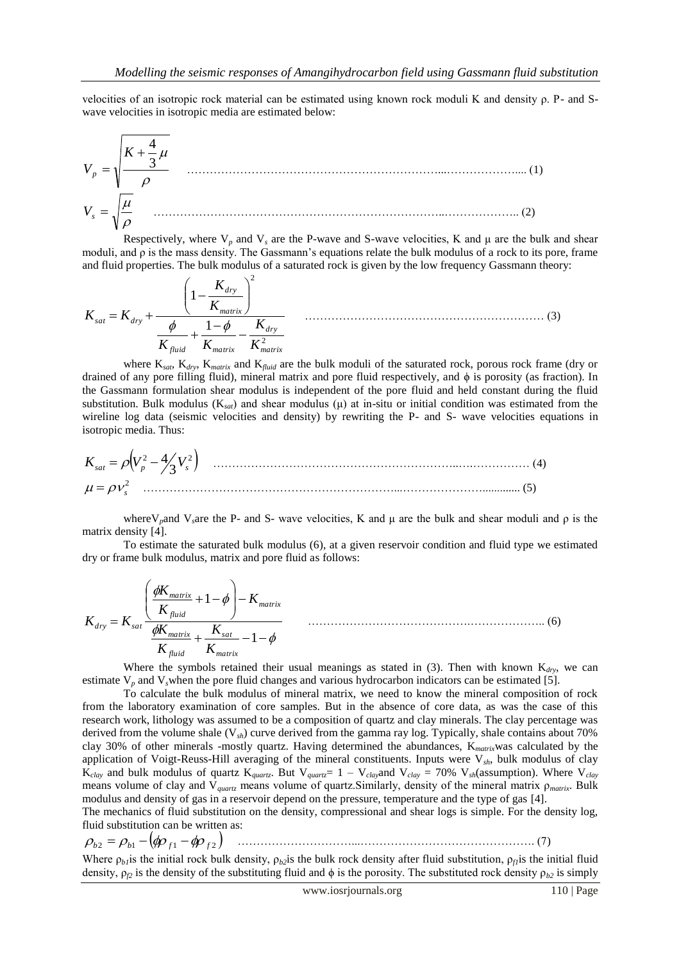velocities of an isotropic rock material can be estimated using known rock moduli K and density ρ. P- and Swave velocities in isotropic media are estimated below:

$$
V_p = \sqrt{\frac{K + \frac{4}{3}\mu}{\rho}}
$$
\n
$$
V_s = \sqrt{\frac{\mu}{\rho}}
$$
\n(1)

Respectively, where  $V_p$  and  $V_s$  are the P-wave and S-wave velocities, K and  $\mu$  are the bulk and shear moduli, and  $\rho$  is the mass density. The Gassmann's equations relate the bulk modulus of a rock to its pore, frame and fluid properties. The bulk modulus of a saturated rock is given by the low frequency Gassmann theory:

$$
K_{sat} = K_{dry} + \frac{\left(1 - \frac{K_{dry}}{K_{matrix}}\right)^2}{\frac{\phi}{K_{fluid}} + \frac{1 - \phi}{K_{matrix}} - \frac{K_{dry}}{K_{matrix}^2}}
$$
 (3)

where K*sat*, K*dry*, K*matrix* and K*fluid* are the bulk moduli of the saturated rock, porous rock frame (dry or drained of any pore filling fluid), mineral matrix and pore fluid respectively, and ϕ is porosity (as fraction). In the Gassmann formulation shear modulus is independent of the pore fluid and held constant during the fluid substitution. Bulk modulus (K*sat*) and shear modulus (μ) at in-situ or initial condition was estimated from the wireline log data (seismic velocities and density) by rewriting the P- and S- wave velocities equations in isotropic media. Thus:

 2 2 3 4 *Ksat V<sup>p</sup> V<sup>s</sup>* ………………………………………………………..….…………… (4) <sup>2</sup> *<sup>s</sup>* …………………………………………………………...…………………............. (5)

where V<sub>p</sub>and V<sub>s</sub>are the P- and S- wave velocities, K and  $\mu$  are the bulk and shear moduli and  $\rho$  is the matrix density [4].

To estimate the saturated bulk modulus (6), at a given reservoir condition and fluid type we estimated dry or frame bulk modulus, matrix and pore fluid as follows:

$$
K_{\text{dry}} = K_{\text{sat}} \frac{\left(\frac{\phi K_{\text{matrix}}}{K_{\text{fluid}}} + 1 - \phi\right) - K_{\text{matrix}}}{\frac{\phi K_{\text{matrix}}}{K_{\text{fluid}}} + \frac{K_{\text{sat}}}{K_{\text{matrix}}} - 1 - \phi} \tag{6}
$$

Where the symbols retained their usual meanings as stated in  $(3)$ . Then with known K<sub>dry</sub>, we can estimate  $V_p$  and  $V_s$  when the pore fluid changes and various hydrocarbon indicators can be estimated [5].

To calculate the bulk modulus of mineral matrix, we need to know the mineral composition of rock from the laboratory examination of core samples. But in the absence of core data, as was the case of this research work, lithology was assumed to be a composition of quartz and clay minerals. The clay percentage was derived from the volume shale (V*sh*) curve derived from the gamma ray log. Typically, shale contains about 70% clay 30% of other minerals -mostly quartz. Having determined the abundances, K*matrix*was calculated by the application of Voigt-Reuss-Hill averaging of the mineral constituents. Inputs were V*sh*, bulk modulus of clay  $K_{clay}$  and bulk modulus of quartz  $K_{quartz}$ . But  $V_{quartz} = 1 - V_{clay}$  and  $V_{clay} = 70\%$   $V_{sh}$ (assumption). Where  $V_{clay}$ means volume of clay and V*quartz* means volume of quartz.Similarly, density of the mineral matrix ρ*matrix*. Bulk modulus and density of gas in a reservoir depend on the pressure, temperature and the type of gas [4].

The mechanics of fluid substitution on the density, compressional and shear logs is simple. For the density log, fluid substitution can be written as:

$$
\rho_{b2} = \rho_{b1} - (\phi \rho_{f1} - \phi \rho_{f2}) \quad \dots \quad \dots \quad \dots \quad \dots \quad \dots \quad \dots \quad (7)
$$

Where  $\rho_b$ *is* the initial rock bulk density,  $\rho_{b2}$ is the bulk rock density after fluid substitution,  $\rho_f$ *is* the initial fluid density,  $\rho_{12}$  is the density of the substituting fluid and  $\phi$  is the porosity. The substituted rock density  $\rho_{b2}$  is simply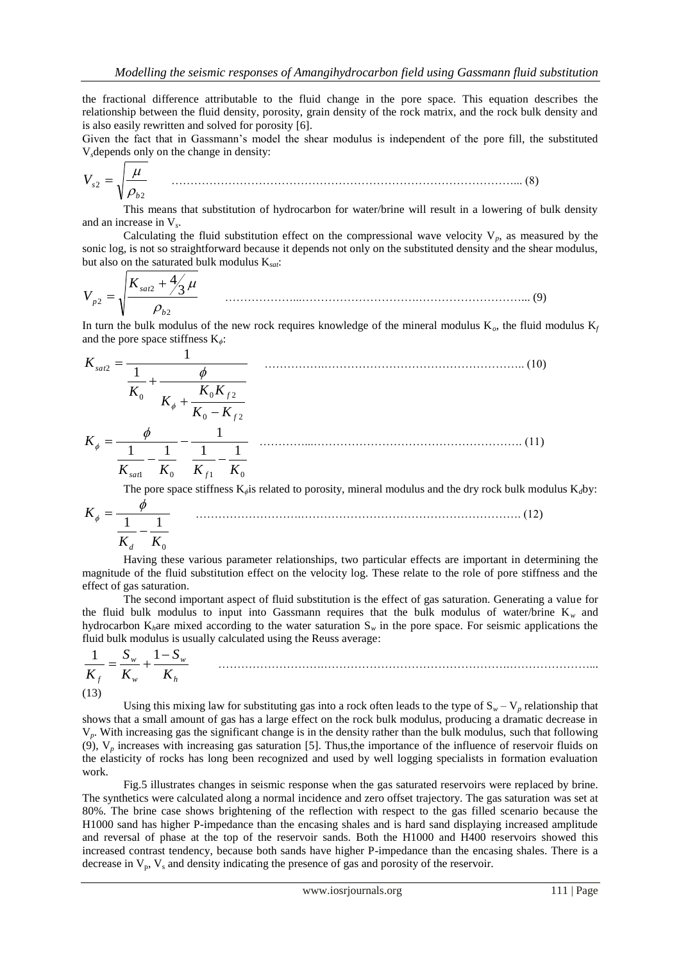the fractional difference attributable to the fluid change in the pore space. This equation describes the relationship between the fluid density, porosity, grain density of the rock matrix, and the rock bulk density and is also easily rewritten and solved for porosity [6].

Given the fact that in Gassmann's model the shear modulus is independent of the pore fill, the substituted V*s*depends only on the change in density:

$$
V_{s2} = \sqrt{\frac{\mu}{\rho_{b2}}} \tag{8}
$$

This means that substitution of hydrocarbon for water/brine will result in a lowering of bulk density and an increase in V*<sup>s</sup>* .

Calculating the fluid substitution effect on the compressional wave velocity  $V_p$ , as measured by the sonic log, is not so straightforward because it depends not only on the substituted density and the shear modulus, but also on the saturated bulk modulus K*sat*:

$$
V_{p2} = \sqrt{\frac{K_{sat2} + \frac{4}{3}\mu}{\rho_{b2}}}
$$
 (9)

In turn the bulk modulus of the new rock requires knowledge of the mineral modulus  $K_c$ , the fluid modulus  $K_f$ and the pore space stiffness K*ϕ*:

$$
K_{sat2} = \frac{1}{\frac{1}{K_0} + \frac{\phi}{K_0 + \frac{K_0 K_{f2}}{K_0 - K_{f2}}}}
$$
 (10)  

$$
K_{\phi} = \frac{\phi}{\frac{1}{K_{sat}} - \frac{1}{K_0} - \frac{1}{K_{f1}} - \frac{1}{K_0}}
$$
 (11)

The pore space stiffness K*ϕ*is related to porosity, mineral modulus and the dry rock bulk modulus K*d*by:

$$
K_{\phi} = \frac{\phi}{\frac{1}{K_d} - \frac{1}{K_0}}
$$
 (12)

Having these various parameter relationships, two particular effects are important in determining the magnitude of the fluid substitution effect on the velocity log. These relate to the role of pore stiffness and the effect of gas saturation.

The second important aspect of fluid substitution is the effect of gas saturation. Generating a value for the fluid bulk modulus to input into Gassmann requires that the bulk modulus of water/brine  $K_w$  and hydrocarbon K*h*are mixed according to the water saturation S*<sup>w</sup>* in the pore space. For seismic applications the fluid bulk modulus is usually calculated using the Reuss average:

……………………….………………………………………….…………………...

$$
\frac{1}{K_f} = \frac{S_w}{K_w} + \frac{1 - S_w}{K_h}
$$
 ....  
(13)

Using this mixing law for substituting gas into a rock often leads to the type of  $S_w - V_p$  relationship that shows that a small amount of gas has a large effect on the rock bulk modulus, producing a dramatic decrease in V*p*. With increasing gas the significant change is in the density rather than the bulk modulus, such that following (9), V*<sup>p</sup>* increases with increasing gas saturation [5]. Thus,the importance of the influence of reservoir fluids on the elasticity of rocks has long been recognized and used by well logging specialists in formation evaluation work.

Fig.5 illustrates changes in seismic response when the gas saturated reservoirs were replaced by brine. The synthetics were calculated along a normal incidence and zero offset trajectory. The gas saturation was set at 80%. The brine case shows brightening of the reflection with respect to the gas filled scenario because the H1000 sand has higher P-impedance than the encasing shales and is hard sand displaying increased amplitude and reversal of phase at the top of the reservoir sands. Both the H1000 and H400 reservoirs showed this increased contrast tendency, because both sands have higher P-impedance than the encasing shales. There is a decrease in  $V_p$ ,  $V_s$  and density indicating the presence of gas and porosity of the reservoir.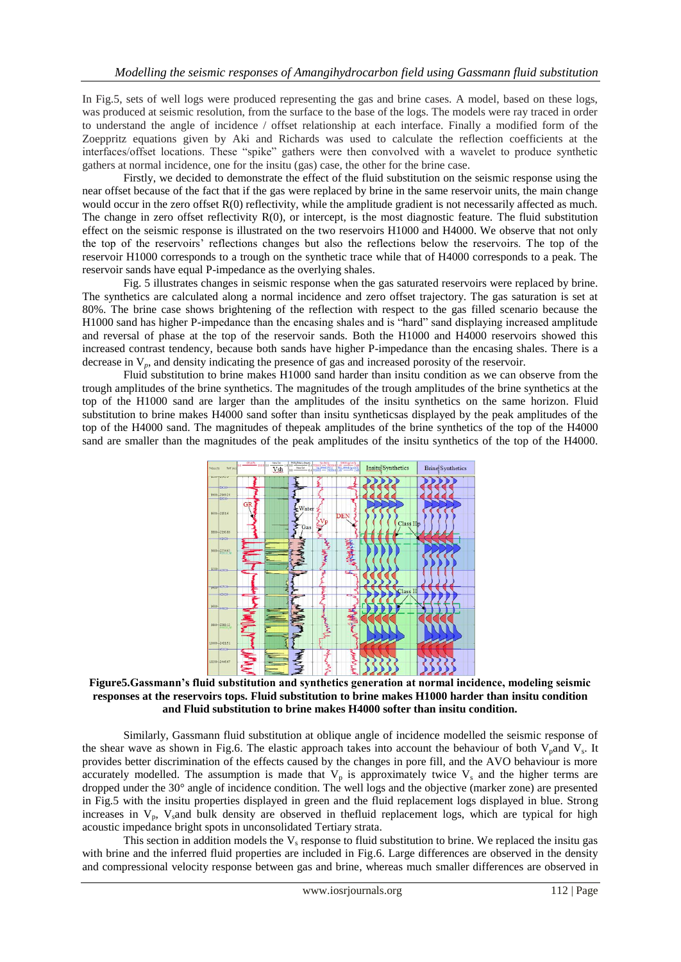In Fig.5, sets of well logs were produced representing the gas and brine cases. A model, based on these logs, was produced at seismic resolution, from the surface to the base of the logs. The models were ray traced in order to understand the angle of incidence / offset relationship at each interface. Finally a modified form of the Zoeppritz equations given by Aki and Richards was used to calculate the reflection coefficients at the interfaces/offset locations. These "spike" gathers were then convolved with a wavelet to produce synthetic gathers at normal incidence, one for the insitu (gas) case, the other for the brine case.

Firstly, we decided to demonstrate the effect of the fluid substitution on the seismic response using the near offset because of the fact that if the gas were replaced by brine in the same reservoir units, the main change would occur in the zero offset R(0) reflectivity, while the amplitude gradient is not necessarily affected as much. The change in zero offset reflectivity R(0), or intercept, is the most diagnostic feature. The fluid substitution effect on the seismic response is illustrated on the two reservoirs H1000 and H4000. We observe that not only the top of the reservoirs' reflections changes but also the reflections below the reservoirs. The top of the reservoir H1000 corresponds to a trough on the synthetic trace while that of H4000 corresponds to a peak. The reservoir sands have equal P-impedance as the overlying shales.

Fig. 5 illustrates changes in seismic response when the gas saturated reservoirs were replaced by brine. The synthetics are calculated along a normal incidence and zero offset trajectory. The gas saturation is set at 80%. The brine case shows brightening of the reflection with respect to the gas filled scenario because the H1000 sand has higher P-impedance than the encasing shales and is "hard" sand displaying increased amplitude and reversal of phase at the top of the reservoir sands. Both the H1000 and H4000 reservoirs showed this increased contrast tendency, because both sands have higher P-impedance than the encasing shales. There is a decrease in V*p*, and density indicating the presence of gas and increased porosity of the reservoir.

Fluid substitution to brine makes H1000 sand harder than insitu condition as we can observe from the trough amplitudes of the brine synthetics. The magnitudes of the trough amplitudes of the brine synthetics at the top of the H1000 sand are larger than the amplitudes of the insitu synthetics on the same horizon. Fluid substitution to brine makes H4000 sand softer than insitu syntheticsas displayed by the peak amplitudes of the top of the H4000 sand. The magnitudes of thepeak amplitudes of the brine synthetics of the top of the H4000 sand are smaller than the magnitudes of the peak amplitudes of the insitu synthetics of the top of the H4000.



**Figure5.Gassmann's fluid substitution and synthetics generation at normal incidence, modeling seismic responses at the reservoirs tops. Fluid substitution to brine makes H1000 harder than insitu condition and Fluid substitution to brine makes H4000 softer than insitu condition.**

Similarly, Gassmann fluid substitution at oblique angle of incidence modelled the seismic response of the shear wave as shown in Fig.6. The elastic approach takes into account the behaviour of both  $V_{p}$ and  $V_{s}$ . It provides better discrimination of the effects caused by the changes in pore fill, and the AVO behaviour is more accurately modelled. The assumption is made that  $V_p$  is approximately twice  $V_s$  and the higher terms are dropped under the 30° angle of incidence condition. The well logs and the objective (marker zone) are presented in Fig.5 with the insitu properties displayed in green and the fluid replacement logs displayed in blue. Strong increases in  $V_p$ ,  $V_s$  and bulk density are observed in the fluid replacement logs, which are typical for high acoustic impedance bright spots in unconsolidated Tertiary strata.

This section in addition models the  $V_s$  response to fluid substitution to brine. We replaced the insitu gas with brine and the inferred fluid properties are included in Fig.6. Large differences are observed in the density and compressional velocity response between gas and brine, whereas much smaller differences are observed in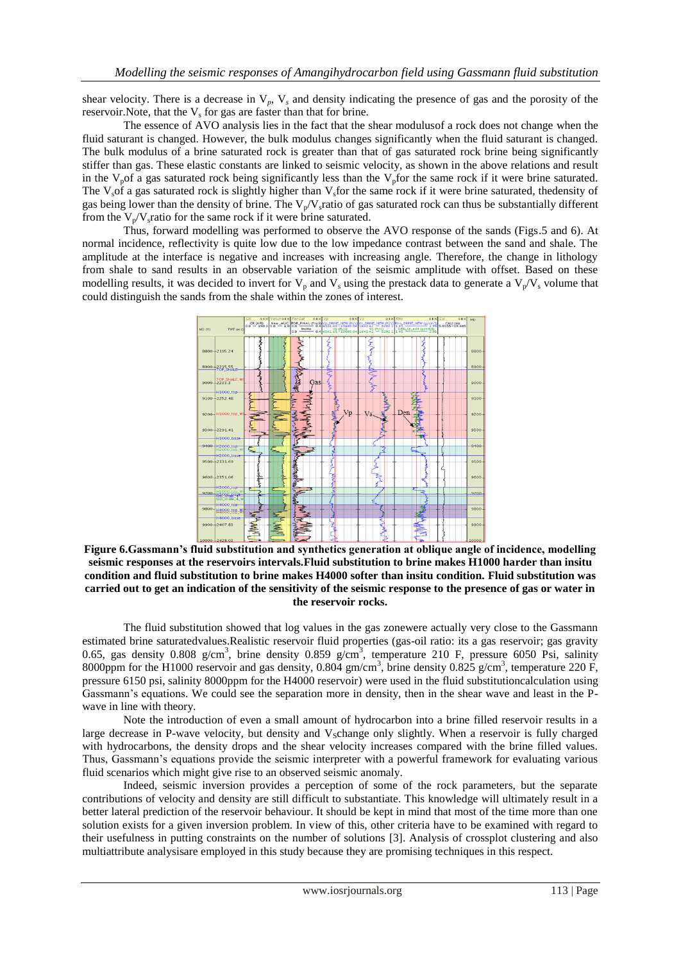shear velocity. There is a decrease in  $V_p$ ,  $V_s$  and density indicating the presence of gas and the porosity of the reservoir. Note, that the  $V_s$  for gas are faster than that for brine.

The essence of AVO analysis lies in the fact that the shear modulusof a rock does not change when the fluid saturant is changed. However, the bulk modulus changes significantly when the fluid saturant is changed. The bulk modulus of a brine saturated rock is greater than that of gas saturated rock brine being significantly stiffer than gas. These elastic constants are linked to seismic velocity, as shown in the above relations and result in the  $V_p$ of a gas saturated rock being significantly less than the  $V_p$ for the same rock if it were brine saturated. The V<sub>s</sub>of a gas saturated rock is slightly higher than V<sub>s</sub>for the same rock if it were brine saturated, thedensity of gas being lower than the density of brine. The  $V_p/V_s$  ratio of gas saturated rock can thus be substantially different from the  $V_p/V_s$  ratio for the same rock if it were brine saturated.

Thus, forward modelling was performed to observe the AVO response of the sands (Figs.5 and 6). At normal incidence, reflectivity is quite low due to the low impedance contrast between the sand and shale. The amplitude at the interface is negative and increases with increasing angle. Therefore, the change in lithology from shale to sand results in an observable variation of the seismic amplitude with offset. Based on these modelling results, it was decided to invert for  $V_p$  and  $V_s$  using the prestack data to generate a  $V_p/V_s$  volume that could distinguish the sands from the shale within the zones of interest.



**Figure 6.Gassmann's fluid substitution and synthetics generation at oblique angle of incidence, modelling seismic responses at the reservoirs intervals.Fluid substitution to brine makes H1000 harder than insitu condition and fluid substitution to brine makes H4000 softer than insitu condition. Fluid substitution was carried out to get an indication of the sensitivity of the seismic response to the presence of gas or water in the reservoir rocks.**

The fluid substitution showed that log values in the gas zonewere actually very close to the Gassmann estimated brine saturatedvalues.Realistic reservoir fluid properties (gas-oil ratio: its a gas reservoir; gas gravity 0.65, gas density 0.808 g/cm<sup>3</sup>, brine density 0.859 g/cm<sup>3</sup>, temperature 210 F, pressure 6050 Psi, salinity 8000ppm for the H1000 reservoir and gas density,  $0.804$  gm/cm<sup>3</sup>, brine density  $0.825$  g/cm<sup>3</sup>, temperature 220 F, pressure 6150 psi, salinity 8000ppm for the H4000 reservoir) were used in the fluid substitutioncalculation using Gassmann's equations. We could see the separation more in density, then in the shear wave and least in the Pwave in line with theory.

Note the introduction of even a small amount of hydrocarbon into a brine filled reservoir results in a large decrease in P-wave velocity, but density and  $V_s$ change only slightly. When a reservoir is fully charged with hydrocarbons, the density drops and the shear velocity increases compared with the brine filled values. Thus, Gassmann's equations provide the seismic interpreter with a powerful framework for evaluating various fluid scenarios which might give rise to an observed seismic anomaly.

Indeed, seismic inversion provides a perception of some of the rock parameters, but the separate contributions of velocity and density are still difficult to substantiate. This knowledge will ultimately result in a better lateral prediction of the reservoir behaviour. It should be kept in mind that most of the time more than one solution exists for a given inversion problem. In view of this, other criteria have to be examined with regard to their usefulness in putting constraints on the number of solutions [3]. Analysis of crossplot clustering and also multiattribute analysisare employed in this study because they are promising techniques in this respect.